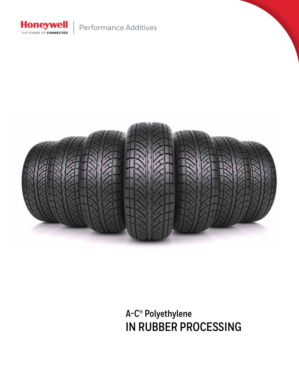

Performance Additives



**A-C® Polyethylene IN RUBBER PROCESSING**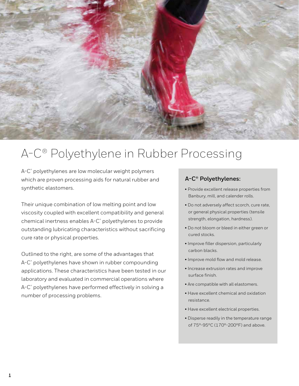

# A-C® Polyethylene in Rubber Processing

A-C® polyethylenes are low molecular weight polymers which are proven processing aids for natural rubber and synthetic elastomers.

Their unique combination of low melting point and low viscosity coupled with excellent compatibility and general chemical inertness enables A-C® polyethylenes to provide outstanding lubricating characteristics without sacrificing cure rate or physical properties.

Outlined to the right, are some of the advantages that A-C® polyethylenes have shown in rubber compounding applications. These characteristics have been tested in our laboratory and evaluated in commercial operations where A-C® polyethylenes have performed effectively in solving a number of processing problems.

# **A-C® Polyethylenes:**

- Provide excellent release properties from Banbury, mill, and calender rolls.
- Do not adversely affect scorch, cure rate, or general physical properties (tensile strength, elongation, hardness).
- Do not bloom or bleed in either green or cured stocks.
- Improve filler dispersion, particularly carbon blacks.
- Improve mold flow and mold release.
- Increase extrusion rates and improve surface finish.
- Are compatible with all elastomers.
- Have excellent chemical and oxidation resistance.
- Have excellent electrical properties.
- Disperse readily in the temperature range of 75°-95°C (170°-200°F) and above.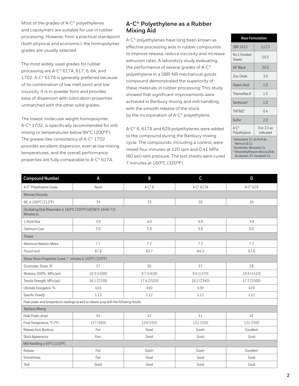Most of the grades of A-C® polyethylenes and copolymers are suitable for use in rubber processing. However, from a practical standpoint (both physical and economic), the homopolymer grades are usually selected.

The most widely used grades for rubber processing are A-C® 617A, 617, 6, 6A, and 1702. A-C® 617A is generally preferred because of its combination of low melt point and low viscosity. It is in powder form and provides ease of dispersion with lubrication properties unmatched with the other solid grades.

The lowest molecular weight homopolymer, A-C® 1702, is specifically recommended for mill mixing or temperatures below 94°C (200°F). The grease-like consistency of A-C® 1702 provides excellent dispersion, even at low mixing temperatures, and the overall performance properties are fully comparable to A-C® 617A.

## **A-C® Polyethylene as a Rubber Mixing Aid**

A-C® polyethylenes have long been known as effective processing aids in rubber compounds to improve release, reduce viscosity and increase extrusion rates. A laboratory study evaluating the performance of several grades of A-C® polyethylene in a SBR-NR mechanical goods compound demonstrated the superiority of these materials in rubber processing. This study showed that significant improvements were achieved in Banbury mixing and mill handling with the smooth release of the stock by the incorporation of A-C<sup>®</sup> polyethylene.

A-C® 6, 617A and 629 polyethylenes were added to the compound during the Banbury mixing cycle. The compounds, including a control, were mixed four minutes at 120 rpm and 0.41 MPa (60 psi) ram pressure. The test sheets were cured 7 minutes at 160°C (320°F).

| <b>Base Formulation</b>                                                                              |                          |  |  |
|------------------------------------------------------------------------------------------------------|--------------------------|--|--|
| SBR 1815                                                                                             | 112.5                    |  |  |
| No.1 Smoked<br><b>Sheets</b>                                                                         | 50.5                     |  |  |
| <b>MT Black</b>                                                                                      | 20.0                     |  |  |
| Zinc Oxide                                                                                           | 3.0                      |  |  |
| Stearic Acid                                                                                         | 1.0                      |  |  |
| Thermoflex $A^1$                                                                                     | 1.5                      |  |  |
| Santocure <sup>2</sup>                                                                               | 1.0                      |  |  |
| TMTMS <sup>3</sup>                                                                                   | 04                       |  |  |
| Sulfur                                                                                               | 7.0                      |  |  |
| $A-C^{\circ}$<br>Polyethylene                                                                        | 0 or 3.5 as<br>indicated |  |  |
| <sup>1</sup> Antioxidant, E.I. du Pont de<br>Nemours & Co.<br><sup>2</sup> Accelerator, Monsanto Co. |                          |  |  |

3 Tetramethylthiuram Monosulfide, Accelerator, R.T. Vanderbilt Co.

| <b>Compound Number</b>                                                                  | A           | B               | C                 | D           |  |  |  |
|-----------------------------------------------------------------------------------------|-------------|-----------------|-------------------|-------------|--|--|--|
| A-C <sup>®</sup> Polyethylene Grade                                                     | None        | $A-C^{\circ} 6$ | $A-C^{\circ}617A$ | A-C® 629    |  |  |  |
| Mooney Viscosity                                                                        |             |                 |                   |             |  |  |  |
| ML@100°C(212°F)                                                                         | 34          | 33              | 35                | 34          |  |  |  |
| Oscillating Disk Rheometer @ 160°C (320°F) (ASTM D-1646-72)<br>Minutes to:              |             |                 |                   |             |  |  |  |
| 1 Point Rise                                                                            | 3.9         | 4.0             | 4.0               | 3.8         |  |  |  |
| Optimum Cure                                                                            | 5.9         | 5.9             | 5.8               | 6.0         |  |  |  |
| Torque                                                                                  |             |                 |                   |             |  |  |  |
| Maximum Newton-Metre                                                                    | 7.7         | 7.2             | 7.3               | 7.7         |  |  |  |
| Pound-Inch                                                                              | 67.8        | 63.7            | 64.3              | 67.8        |  |  |  |
| Stress-Strain Properties Cured 7 minutes @ 160°C (320°F)                                |             |                 |                   |             |  |  |  |
| Durometer, Shore, "A"                                                                   | 57          | 56              | 57                | 58          |  |  |  |
| Modulus 300%, MPa (psi)                                                                 | 10.3 (1500) | 9.7(1410)       | 9.4(1370)         | 10.4 (1510) |  |  |  |
| Tensile Strength, MPa (psi)                                                             | 16.1 (2330) | 17.4 (2520)     | 16.1 (2340)       | 17.2 (2500) |  |  |  |
| Ultimate Elongation, %                                                                  | 410         | 450             | 430               | 420         |  |  |  |
| Specific Gravity                                                                        | 1.13        | 1.12            | 1.12              | 1.12        |  |  |  |
| Peak power and temperature readings as well as release prop with the following results: |             |                 |                   |             |  |  |  |
| <b>Banbury Mixing</b>                                                                   |             |                 |                   |             |  |  |  |
| Peak Power, amps                                                                        | 45          | 42              | 41                | 42          |  |  |  |
| Final Temperature, °C (°F)                                                              | 127 (260)   | 124 (255)       | 121 (250)         | 121 (250)   |  |  |  |
| Release from Banbury                                                                    | Fair        | Good            | Good+             | Excellent   |  |  |  |
| Stock Appearance                                                                        | Fair+       | Good            | Good              | Good        |  |  |  |
| Mill Handling @ 65°C (150°F)                                                            |             |                 |                   |             |  |  |  |
| Release                                                                                 | Fair        | Good+           | Good+             | Excellent   |  |  |  |
| Smoothness                                                                              | Fair        | Good            | Good              | Good        |  |  |  |
| Tack                                                                                    | Good        | Good            | Good              | Good        |  |  |  |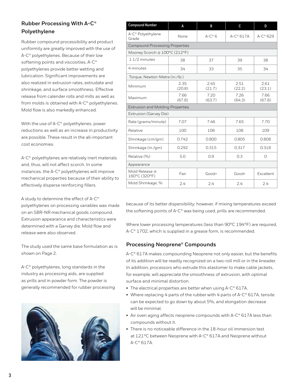# **Rubber Processing With A-C® Polyethylene**

Rubber compound processibility and product uniformity are greatly improved with the use of A-C® polyethylenes. Because of their low softening points and viscosities, A-C® polyethylenes provide better wetting and lubrication. Significant improvements are also realized in extrusion rates, extrudate and shrinkage, and surface smoothness. Effective release from calender rolls and mills as well as from molds is obtained with A-C® polyethylenes. Mold flow is also markedly enhanced.

With the use of A-C® polyethylenes, power reductions as well as an increase in productivity are possible. These result in the all-important cost economies.

A-C® polyethylenes are relatively inert materials and, thus, will not affect scorch. In some instances, the A-C® polyethylenes will improve mechanical properties because of their ability to effectively disperse reinforcing fillers.

A study to determine the effect of A-C® polyethylenes on processing variables was made on an SBR-NR mechanical goods compound. Extrusion appearance and characteristics were determined with a Garvey die. Mold flow and release were also observed.

The study used the same base formulation as is shown on Page 2.

A-C® polyethylenes, long standards in the industry as processing aids, are supplied as prills and in powder form. The powder is generally recommended for rubber processing



| <b>Compound Number</b>                  | A              | B              | C                 | D                |  |  |  |
|-----------------------------------------|----------------|----------------|-------------------|------------------|--|--|--|
| A-C <sup>®</sup> Polyethylene<br>Grade  | None           | $A-C^{\circ}6$ | $A-C^{\circ}617A$ | $A-C^{\circ}629$ |  |  |  |
| <b>Compound Processing Properties</b>   |                |                |                   |                  |  |  |  |
| Mooney Scorch @ 100°C (212°F)           |                |                |                   |                  |  |  |  |
| $11/2$ minutes                          | 38<br>37<br>39 |                |                   | 38               |  |  |  |
| 4 minutes                               | 34             | 33             | 35                | 34               |  |  |  |
| Torque, Newton-Metre (in./lb.)          |                |                |                   |                  |  |  |  |
| Minimum                                 | 2.35<br>(20.8) | 2.45<br>(21.7) | 2.51<br>(22.2)    | 2.61<br>(23.1)   |  |  |  |
| Maximum                                 | 7.66<br>(67.8) | 7.20<br>(63.7) | 7.26<br>(64.3)    | 7.66<br>(67.8)   |  |  |  |
| <b>Extrusion and Molding Properties</b> |                |                |                   |                  |  |  |  |
| Extrusion (Garvey Die)                  |                |                |                   |                  |  |  |  |
| Rate (grams/minute)                     | 7.07           | 7.46           | 7.65              | 7.70             |  |  |  |
| Relative                                | 100            | 106            | 108               | 109              |  |  |  |
| Shrinkage (cm/gm)                       | 0.742          | 0.800          | 0.805             | 0.808            |  |  |  |
| Shrinkage (in./gm)                      | 0.292          | 0.315          | 0.317             | 0.318            |  |  |  |
| Relative (%)                            | 5.0            | 0.9            | 0.3               | $\circ$          |  |  |  |
| Appearance                              |                |                |                   |                  |  |  |  |
| Mold Release @<br>160°C (320°F)         | Fair           | $Good+$        | $Good+$           | Excellent        |  |  |  |
| Mold Shrinkage, %<br>2.4                |                | 2.4            | 2.4               | 2.4              |  |  |  |

because of its better dispersibility; however, if mixing temperatures exceed the softening points of A-C® wax being used, prills are recommended.

Where lower processing temperatures (less than 90°C 194°F) are required, A-C<sup>®</sup> 1702, which is supplied in a grease form, is recommended.

## **Processing Neoprene® Compounds**

A-C® 617A makes compounding Neoprene not only easier, but the benefits of its addition will be readily recognized on a two-roll mill or in the kneader. In addition, processors who extrude this elastomer to make cable jackets, for example, will appreciate the smoothness of extrusion, with optimal surface and minimal distortion.

- The electrical properties are better when using A-C® 617A.
- Where replacing 4 parts of the rubber with 4 parts of A-C® 617A, tensile can be expected to go down by about 5%, and elongation decrease will be minimal.
- Air oven aging affects neoprene compounds with A-C® 617A less than compounds without it.
- There is no noticeable difference in the 18-hour oil immersion test at 121°C between Neoprene with A-C® 617A and Neoprene without A-C® 617A.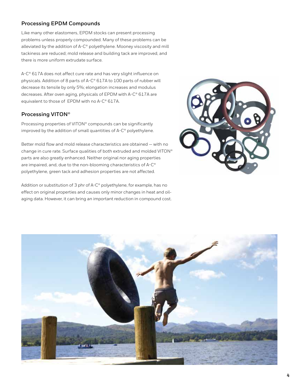# **Processing EPDM Compounds**

Like many other elastomers, EPDM stocks can present processing problems unless properly compounded. Many of these problems can be alleviated by the addition of A-C® polyethylene. Mooney viscosity and mill tackiness are reduced; mold release and building tack are improved, and there is more uniform extrudate surface.

A-C® 617A does not affect cure rate and has very slight influence on physicals. Addition of 8 parts of A-C® 617A to 100 parts of rubber will decrease its tensile by only 5%; elongation increases and modulus decreases. After oven aging, physicals of EPDM with A-C® 617A are equivalent to those of EPDM with no A-C® 617A.

#### **Processing VITON®**

Processing properties of VITON® compounds can be significantly improved by the addition of small quantities of A-C® polyethylene.

Better mold flow and mold release characteristics are obtained — with no change in cure rate. Surface qualities of both extruded and molded VITON® parts are also greatly enhanced. Neither original nor aging properties are impaired, and, due to the non-blooming characteristics of A-C® polyethylene, green tack and adhesion properties are not affected.

Addition or substitution of 3 phr of A-C® polyethylene, for example, has no effect on original properties and causes only minor changes in heat and oilaging data. However, it can bring an important reduction in compound cost.



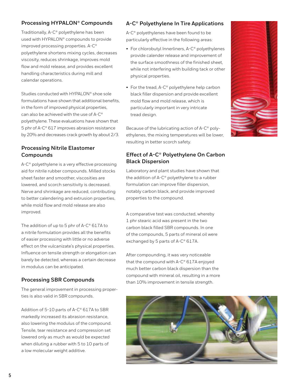## **Processing HYPALON® Compounds**

Traditionally, A-C® polyethylene has been used with HYPALON® compounds to provide improved processing properties. A-C® polyethylene shortens mixing cycles, decreases viscosity, reduces shrinkage, improves mold flow and mold release, and provides excellent handling characteristics during mill and calendar operations.

Studies conducted with HYPALON® shoe sole formulations have shown that additional benefits, in the form of improved physical properties, can also be achieved with the use of A-C® polyethylene. These evaluations have shown that 5 phr of A-C® 617 improves abrasion resistance by 20% and decreases crack growth by about 2/3.

#### **Processing Nitrile Elastomer Compounds**

A-C® polyethylene is a very effective processing aid for nitrile rubber compounds. Milled stocks sheet faster and smoother, viscosities are lowered, and scorch sensitivity is decreased. Nerve and shrinkage are reduced, contributing to better calendering and extrusion properties, while mold flow and mold release are also improved.

The addition of up to 5 phr of A-C® 617A to a nitrile formulation provides all the benefits of easier processing with little or no adverse effect on the vulcanizate's physical properties. Influence on tensile strength or elongation can barely be detected, whereas a certain decrease in modulus can be anticipated.

#### **Processing SBR Compounds**

The general improvement in processing properties is also valid in SBR compounds.

Addition of 5-10 parts of A-C® 617A to SBR markedly increased its abrasion resistance, also lowering the modulus of the compound. Tensile, tear resistance and compression set lowered only as much as would be expected when diluting a rubber with 5 to 10 parts of a low molecular weight additive.

#### **A-C® Polyethylene In Tire Applications**

A-C® polyethylenes have been found to be particularly effective in the following areas:

- For chlorobutyl Innerliners, A-C® polyethylenes provide calender release and improvement of the surface smoothness of the finished sheet, while not interfering with building tack or other physical properties.
- For the tread, A-C<sup>®</sup> polyethylene help carbon black filler dispersion and provide excellent mold flow and mold release, which is particularly important in very intricate tread design.

Because of the lubricating action of A-C® polyethylenes, the mixing temperatures will be lower, resulting in better scorch safety.

## **Effect of A-C® Polyethylene On Carbon Black Dispersion**

Laboratory and plant studies have shown that the addition of A-C® polyethylene to a rubber formulation can improve filler dispersion, notably carbon black, and provide improved properties to the compound.

A comparative test was conducted, whereby 1 phr stearic acid was present in the two carbon black filled SBR compounds. In one of the compounds, 5 parts of mineral oil were exchanged by 5 parts of A-C® 617A.

After compounding, it was very noticeable that the compound with A-C® 617A enjoyed much better carbon black dispersion than the compound with mineral oil, resulting in a more than 10% improvement in tensile strength.



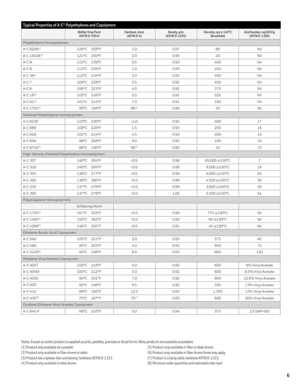| Typical Properties of A-C <sup>®</sup> Polyethylenes and Copolymers |                 |                                            |                               |                                |                                        |                                        |  |
|---------------------------------------------------------------------|-----------------|--------------------------------------------|-------------------------------|--------------------------------|----------------------------------------|----------------------------------------|--|
|                                                                     |                 | <b>Mettler Drop Point</b><br>(ASTM D-3954) | Hardness, dmm<br>$(ASTM D-5)$ | Density, g/cc<br>(ASTM D-1505) | Viscosity, cps @ 140°C<br>(Brookfield) | Acid Number, mg KOH/g<br>(ASTM D-1386) |  |
| Polyethylene Homopolymers                                           |                 |                                            |                               |                                |                                        |                                        |  |
| A-C 820A(1)                                                         | $126^{\circ}$ C | 259°F                                      | 1.0                           | 0.97                           | 80                                     | Nil                                    |  |
| A-C 1810A(1)                                                        | $121^{\circ}$ C | 250°F                                      | 2.0                           | 0.95                           | 20                                     | Nil                                    |  |
| $A-C9$                                                              | $115^{\circ}$ C | 239°F                                      | 0.5                           | 0.93                           | 450                                    | Nil                                    |  |
| $A-C8$                                                              |                 | 113°C 235°F                                | 1.0                           | 0.93                           | 450                                    | Nil                                    |  |
| $A-C 3A^{(1)}$                                                      | $112^{\circ}$ C | 234°F                                      | 2.0                           | 0.92                           | 450                                    | Nil                                    |  |
| $A-C7$                                                              | $109^{\circ}$ C | 228°F                                      | 2.5                           | 0.92                           | 450                                    | Nil                                    |  |
| $A-C6$                                                              | $106^{\circ}$ C | 223°F                                      | 4.0                           | 0.92                           | 375                                    | Nil                                    |  |
| $A-C 16^{(8)}$                                                      |                 | 102°C 216°F                                | 5.5                           | 0.91                           | 525                                    | Nil                                    |  |
| A-C 617                                                             | $101^{\circ}$ C | 214°F                                      | 7.0                           | 0.91                           | 180                                    | Nil                                    |  |
| A-C 1702(2)                                                         | $90^{\circ}$ C  | 194°F                                      | 98(3)                         | 0.88                           | 30                                     | Nil                                    |  |
| Oxidized Polyethylene Homopolymers                                  |                 |                                            |                               |                                |                                        |                                        |  |
| A-C 623P                                                            | $110^{\circ}$ C | 230°F                                      | <1.0                          | 0.95                           | 400                                    | 17                                     |  |
| A-C 680                                                             | 108°C           | 226°F                                      | 1.5                           | 0.93                           | 250                                    | 16                                     |  |
| A-C 629                                                             | $101^{\circ}$ C | 214°F                                      | 5.5                           | 0.93                           | 200                                    | 15                                     |  |
| A-C 656                                                             | $98^{\circ}$ C  | 208°F                                      | 9.0                           | 0.92                           | 185                                    | 15                                     |  |
| A-C 6702(5)                                                         |                 | 88°C 190°F                                 | $90^{(3)}$                    | 0.85                           | 35                                     | 15                                     |  |
| High-Density Oxidized Polyethylene Homopolymers                     |                 |                                            |                               |                                |                                        |                                        |  |
| A-C 307                                                             | $140^{\circ}$ C | 284°F                                      | < 0.5                         | 0.98                           | 85,000 @150°C                          | $\overline{7}$                         |  |
| A-C 316                                                             | $140^{\circ}$ C | 284°F                                      | 0.5                           | 0.98                           | 8,500 @150°C                           | 16                                     |  |
| A-C 325                                                             | $136^{\circ}$ C | 277°F                                      | 0.5                           | 0.99                           | 4,500 @150°C                           | 25                                     |  |
| A-C 392                                                             | 138°C           | 280°F                                      | 0.5                           | 0.99                           | 4,500 @150°C                           | 30                                     |  |
| A-C 330                                                             | 137°C           | 279°F                                      | 0.5                           | 0.99                           | 3,600 @150°C                           | 30                                     |  |
| A-C 395                                                             |                 | 137°C 279°F                                | 0.5                           | 1.00                           | 2,500 @150°C                           | 41                                     |  |
| Polypropylene Homopolymers                                          |                 |                                            |                               |                                |                                        |                                        |  |
|                                                                     | Softening Point |                                            |                               |                                |                                        |                                        |  |
| A-C 1754(1)                                                         |                 | 167°C 333°F                                | < 0.5                         | 0.89                           | 775 @190°C                             | Nil                                    |  |
| $A-C 1660(1)$                                                       | $150^{\circ}$ C | 302°F                                      | 0.5                           | 0.89                           | 60 @190°C                              | Nil                                    |  |
| A-C 1089(1)                                                         |                 | 146°C 295°F                                | < 0.5                         | 0.91                           | 45 @190°C                              | Nil                                    |  |
| Ethylene-Acrylic Acid Copolymers                                    |                 |                                            |                               |                                |                                        |                                        |  |
| A-C 540                                                             |                 | 105°C 221°F                                | 2.0                           | 0.93                           | 575                                    | 40                                     |  |
| A-C 580                                                             |                 | 95°C 203°F                                 | 4.0                           | 0.93                           | 650                                    | 75                                     |  |
| A-C 5120 <sup>(6)</sup>                                             |                 | 92°C 198°F                                 | 8.0                           | 0.93                           | 600                                    | 120                                    |  |
| Ethylene-Vinyl Acetate Copolymers                                   |                 |                                            |                               |                                |                                        |                                        |  |
| A-C 405T                                                            |                 | 102°C 216°F                                | 4.0                           | 0.92                           | 600                                    | 6% Vinyl Acetate                       |  |
| A-C 405M                                                            | $100^{\circ}$ C | 212°F                                      | 5.0                           | 0.92                           | 600                                    | 8.5% Vinyl Acetate                     |  |
| A-C 405S                                                            |                 | 94°C 201°F                                 | $7.0\,$                       | 0.92                           | 600                                    | 10.5% Vinyl Acetate                    |  |
| A-C 400                                                             |                 | 92°C 198°F                                 | 9.5                           | 0.92                           | 595                                    | 13% Vinyl Acetate                      |  |
| A-C 415                                                             |                 | 89°C 192°F                                 | 12.5                          | 0.92                           | 1,300                                  | 15% Vinyl Acetate                      |  |
| A-C 430(8)                                                          |                 | 75°C 167°F                                 | $70^{(7)}$                    | 0.93                           | 600                                    | 26% Vinyl Acetate                      |  |
| Oxidized Ethylene-Vinyl Acetate Copolymers                          |                 |                                            |                               |                                |                                        |                                        |  |
| A-C 645 P                                                           |                 | 99°C 210°F                                 | 5.0                           | 0.94                           | 375                                    | 13 (SAP=56)                            |  |

Notes: Except as noted, product is supplied as prills, pastilles, granules or diced forms. Many products are available as powders

(2) Product only available in fiber drums or slabs (6) Product only available in fiber drums times may apply

(3) Product has a grease-like consistency, hardness ASTM D-1321 (7) Product is a tacky solid, hardness ASTM D-1321

- (1) Product only available as a powder (5) Product only available in fiber or steel drums
	-
	-

(4) Product only available in steel drums (8) Minimum order quantities and extended order lead